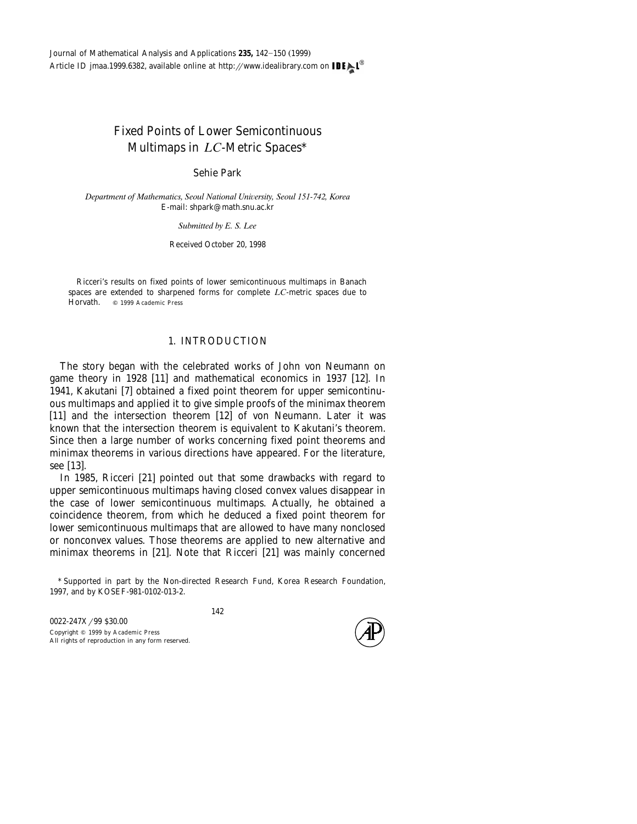# Fixed Points of Lower Semicontinuous Multimaps in *LC*-Metric Spaces\*

Sehie Park

*Department of Mathematics, Seoul National Uni*¨*ersity, Seoul 151-742, Korea* E-mail: shpark@math.snu.ac.kr

*Submitted by E. S. Lee*

Received October 20, 1998

Ricceri's results on fixed points of lower semicontinuous multimaps in Banach spaces are extended to sharpened forms for complete *LC*-metric spaces due to Horvath. Q 1999 Academic Press

## 1. INTRODUCTION

The story began with the celebrated works of John von Neumann on game theory in 1928 [11] and mathematical economics in 1937 [12]. In 1941, Kakutani [7] obtained a fixed point theorem for upper semicontinuous multimaps and applied it to give simple proofs of the minimax theorem [11] and the intersection theorem  $[12]$  of von Neumann. Later it was known that the intersection theorem is equivalent to Kakutani's theorem. Since then a large number of works concerning fixed point theorems and minimax theorems in various directions have appeared. For the literature, see [13].

In 1985, Ricceri [21] pointed out that some drawbacks with regard to upper semicontinuous multimaps having closed convex values disappear in the case of lower semicontinuous multimaps. Actually, he obtained a coincidence theorem, from which he deduced a fixed point theorem for lower semicontinuous multimaps that are allowed to have many nonclosed or nonconvex values. Those theorems are applied to new alternative and minimax theorems in [21]. Note that Ricceri [21] was mainly concerned



<sup>\*</sup> Supported in part by the Non-directed Research Fund, Korea Research Foundation, 1997, and by KOSEF-981-0102-013-2.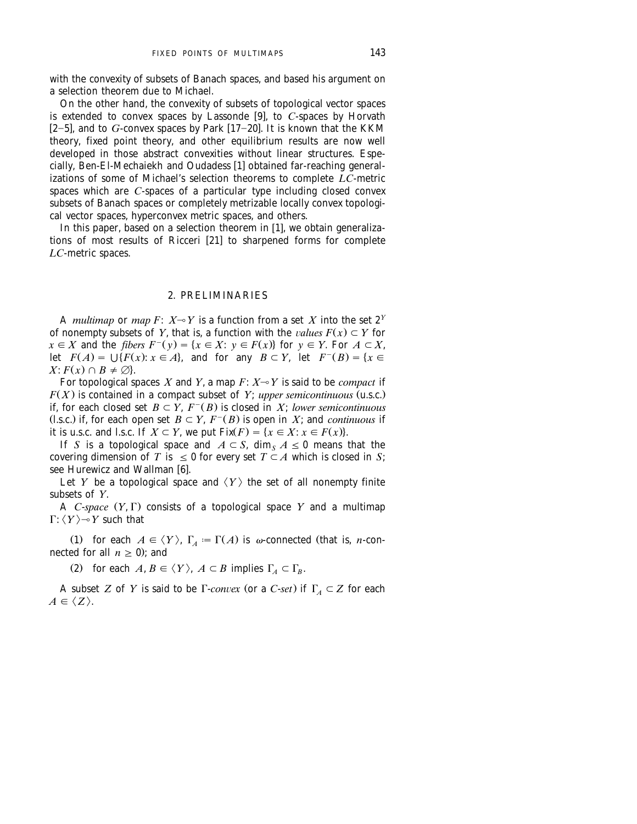with the convexity of subsets of Banach spaces, and based his argument on a selection theorem due to Michael.

On the other hand, the convexity of subsets of topological vector spaces<br>is extended to convex spaces by Lassonde [9], to *C*-spaces by Horvath  $[2-5]$ , and to *G*-convex spaces by Park  $[17-20]$ . It is known that the KKM theory, fixed point theory, and other equilibrium results are now well developed in those abstract convexities without linear structures. Espe-<br>cially, Ben-El-Mechaiekh and Oudadess [1] obtained far-reaching generalizations of some of Michael's selection theorems to complete *LC*-metric spaces which are *C*-spaces of a particular type including closed convex subsets of Banach spaces or completely metrizable locally convex topologi-

cal vector spaces, hyperconvex metric spaces, and others.<br>In this paper, based on a selection theorem in [1], we obtain generalizations of most results of Ricceri  $[21]$  to sharpened forms for complete *LC*-metric spaces.

### 2. PRELIMINARIES

A *multimap* or *map*  $F: X \rightarrow Y$  is a function from a set *X* into the set  $2^Y$ of nonempty subsets of *Y*, that is, a function with the *values*  $F(x) \subset Y$  for  $x \in X$  and the *fibers*  $F^-(y) = \{x \in X : y \in F(x)\}$  for  $y \in Y$ . For  $A \subset X$ , let  $F(A) = \bigcup \{F(x): x \in A\}$ , and for any  $B \subset Y$ , let  $F^{-}(B) = \{x \in$  $X: F(x) \cap B \neq \emptyset$ .

For topological spaces  $X$  and  $Y$ , a map  $F\colon X{\multimap} Y$  is said to be  $\emph{compact}$  if  $F(X)$  is contained in a compact subset of *Y*; *upper semicontinuous* (u.s.c.) if, for each closed set  $B \subset Y$ ,  $F^{-}(B)$  is closed in *X*; *lower semicontinuous* (l.s.c.) if, for each open set  $B \subset Y$ ,  $F^{-}(B)$  is open in *X*; and *continuous* if it is u.s.c. and l.s.c. If  $X \subset Y$ , we put  $Fix(F) = \{x \in X : x \in F(x)\}.$ 

If *S* is a topological space and  $A \subset S$ , dim  $_A A \leq 0$  means that the covering dimension of *T* is  $\leq 0$  for every set  $T \subset A$  which is closed in *S*; see Hurewicz and Wallman [6].

Let *Y* be a topological space and  $\langle Y \rangle$  the set of all nonempty finite subsets of *Y*.

A *C*-*space*  $(Y, \Gamma)$  consists of a topological space *Y* and a multimap  $\Gamma: \langle Y \rangle \rightarrow Y$  such that

(1) for each  $A \in \langle Y \rangle$ ,  $\Gamma_A := \Gamma(A)$  is  $\omega$ -connected (that is, *n*-connected for all  $n > 0$ ; and

(2) for each  $A, B \in \langle Y \rangle$ ,  $A \subset B$  implies  $\Gamma_A \subset \Gamma_B$ .

A subset *Z* of *Y* is said to be  $\Gamma$ -*convex* (or a *C*-*set*) if  $\Gamma$ <sub>*A*</sub>  $\subset$  *Z* for each  $A \in \langle Z \rangle$ .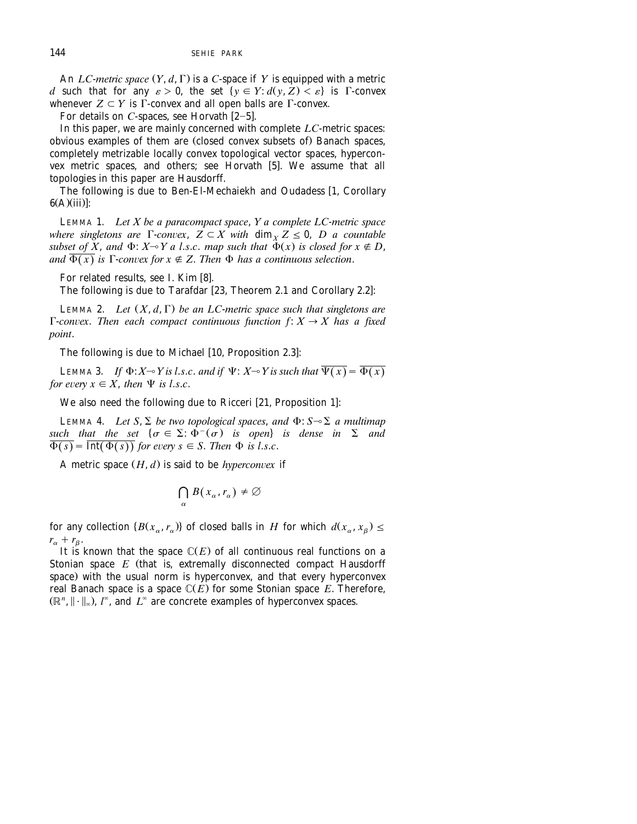An  $LC$ *-metric space*  $(Y, d, \Gamma)$  is a *C*-space if  $Y$  is equipped with a metric *d* such that for any  $\varepsilon > 0$ , the set  $\{y \in Y : d(y, Z) < \varepsilon\}$  is  $\Gamma$ -convex whenever  $Z \subset Y$  is  $\Gamma$ -convex and all open balls are  $\Gamma$ -convex.

For details on  $C$ -spaces, see Horvath  $[2-5]$ .

In this paper, we are mainly concerned with complete *LC*-metric spaces: obvious examples of them are (closed convex subsets of) Banach spaces, completely metrizable locally convex topological vector spaces, hyperconvex metric spaces, and others; see Horvath [5]. We assume that all topologies in this paper are Hausdorff.

The following is due to Ben-El-Mechaiekh and Oudadess [1, Corollary  $6(A)(iii)$ :

LEMMA 1. *Let X be a paracompact space*, *Y a complete LC*-*metric space where singletons are*  $\Gamma$ *-convex,*  $Z \subset X$  *with*  $\dim_X Z \leq 0$ , *D a countable subset of*  $X$ , and  $\Phi$ :  $X \rightarrow Y$  a l.s.c. map such that  $\Phi(x)$  is closed for  $x \notin D$ , *and*  $\overline{\Phi(x)}$  *is*  $\Gamma$ *-convex for*  $x \notin Z$ *. Then*  $\Phi$  *has a continuous selection.* 

For related results, see I. Kim [8].

The following is due to Tarafdar [23, Theorem 2.1 and Corollary 2.2]:

LEMMA 2. *Let*  $(X, d, \Gamma)$  *be an LC-metric space such that singletons are*  $\Gamma$ -convex. Then each compact continuous function  $f: X \to X$  has a fixed *point*.

The following is due to Michael [10, Proposition 2.3]:

LEMMA 3. *If*  $\Phi$ :  $X \rightarrow Y$  *is l.s.c. and if*  $\Psi$ :  $X \rightarrow Y$  *is such that*  $\overline{\Psi(x)} = \overline{\Phi(x)}$ *for every*  $x \in X$ *, then*  $\Psi$  *is l.s.c.* 

We also need the following due to Ricceri [21, Proposition 1]:

LEMMA 4. *Let*  $S$ ,  $\Sigma$  *be two topological spaces, and*  $\Phi$ :  $S \sim \Sigma$  *a multimap such that the set*  $\{\sigma \in \Sigma : \Phi^-(\sigma)$  *is open is dense in*  $\Sigma$  *and*  $\overline{\Phi(s)} = \overline{\text{Int}(\Phi(s))}$  for every  $s \in S$ . Then  $\Phi$  is l.s.c.

A metric space  $(H, d)$  is said to be *hyperconvex* if

$$
\bigcap_{\alpha} B(x_{\alpha}, r_{\alpha}) \neq \emptyset
$$

for any collection  $\{B(x_\alpha, r_\alpha)\}\)$  of closed balls in *H* for which  $d(x_\alpha, x_\beta) \le$  $r_{\alpha} + r_{\beta}$ .

It is known that the space  $\mathbb{C}(E)$  of all continuous real functions on a Stonian space  $E$  (that is, extremally disconnected compact Hausdorff space) with the usual norm is hyperconvex, and that every hyperconvex real Banach space is a space  $\mathbb{C}(E)$  for some Stonian space  $E$ . Therefore,  $(\mathbb{R}^n, \|\cdot\|_{\infty})$ ,  $l^{\infty}$ , and  $L^{\infty}$  are concrete examples of hyperconvex spaces.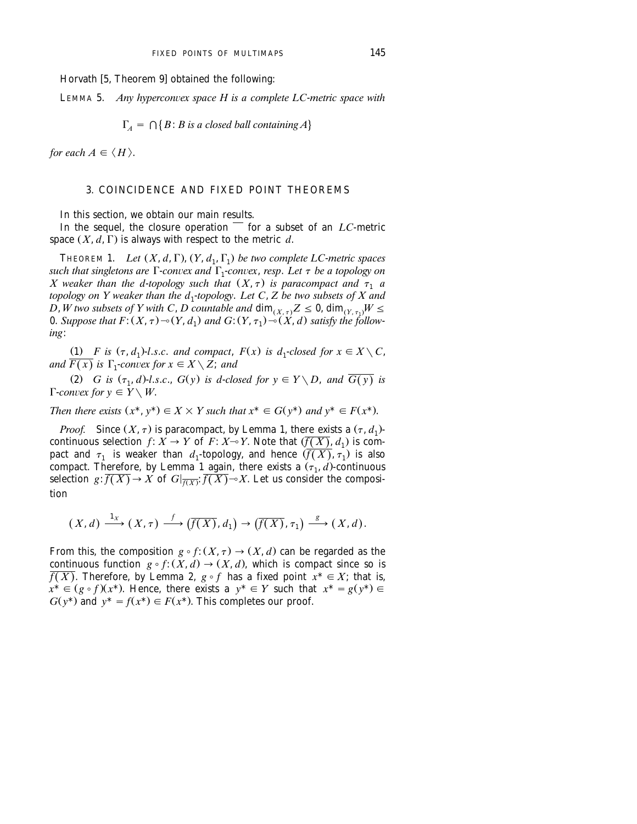Horvath [5, Theorem 9] obtained the following:

LEMMA 5. *Any hyperconvex space H is a complete LC-metric space with* 

$$
\Gamma_A = \bigcap \{ B : B \text{ is a closed ball containing } A \}
$$

*for each*  $A \in \langle H \rangle$ .

## 3. COINCIDENCE AND FIXED POINT THEOREMS

In this section, we obtain our main results.

In the sequel, the closure operation  $\overline{\phantom{a}}$  for a subset of an *LC*-metric space  $(X, d, \Gamma)$  is always with respect to the metric *d*.

THEOREM 1. *Let*  $(X, d, \Gamma)$ ,  $(Y, d_1, \Gamma_1)$  *be two complete LC-metric spaces such that singletons are*  $\Gamma$ *-convex and*  $\Gamma$ <sub>1</sub>*-convex, resp. Let*  $\tau$  *be a topology on X* weaker than the d-topology such that  $(X, \tau)$  is paracompact and  $\tau_1$  a *topology on Y weaker than the d*1-*topology*. *Let C*, *Z be two subsets of X and D*, *W* two subsets of Y with C, *D* countable and  $\dim_{(X,\tau)} Z \leq 0$ ,  $\dim_{(Y,\tau_1)} W \leq$ 0. Suppose that  $F: (X, \tau) \sim (Y, d_1)$  and  $G: (Y, \tau_1) \sim (X, d)$  satisfy the follow*ing*:

(1) *F* is  $(\tau, d_1)$ -*l.s.c.* and compact,  $F(x)$  is  $d_1$ -closed for  $x \in X \setminus C$ , *and*  $\overline{F(x)}$  *is*  $\Gamma_1$ -*convex for*  $x \in X \setminus Z$ *; and* 

(2) *G* is  $(\tau_1, d)$ -*l.s.c.*,  $G(y)$  is *d*-*closed for*  $y \in Y \setminus D$ , *and*  $\overline{G(y)}$  is  $\Gamma$ *-convex for*  $y \in \overline{Y} \setminus W$ .

*Then there exists*  $(x^*, y^*) \in X \times Y$  *such that*  $x^* \in G(y^*)$  *and*  $y^* \in F(x^*)$ .

*Proof.* Since  $(X, \tau)$  is paracompact, by Lemma 1, there exists a  $(\tau, d_1)$ continuous selection *f*:  $\overline{X} \to Y$  of *F*:  $X \to Y$ . Note that  $(\overline{f(X)}, d_1)$  is compact and  $\tau_1$  is weaker than  $d_1$ -topology, and hence  $(\overline{f(X)}, \tau_1)$  is also compact. Therefore, by Lemma 1 again, there exists a  $(\tau_1, d)$ -continuous selection  $g: \overline{f(X)} \to X$  of  $G|_{\overline{f(X)}}$ :  $\overline{f(X)} \to X$ . Let us consider the composition

$$
(X,d) \xrightarrow{1_X} (X,\tau) \xrightarrow{f} (\overline{f(X)},d_1) \to (\overline{f(X)},\tau_1) \xrightarrow{s} (X,d).
$$

From this, the composition  $g \circ f: (X, \tau) \to (X, d)$  can be regarded as the continuous function  $g \circ f: (X, d) \to (X, d)$ , which is compact since so is  $\overline{f(X)}$ . Therefore, by Lemma 2,  $g \circ f$  has a fixed point  $x^* \in X$ ; that is,  $x^* \in (g \circ f)(x^*)$ . Hence, there exists a  $y^* \in Y$  such that  $x^* = g(y^*) \in Y$  $G(y^*)$  and  $y^* = f(x^*) \in F(x^*)$ . This completes our proof.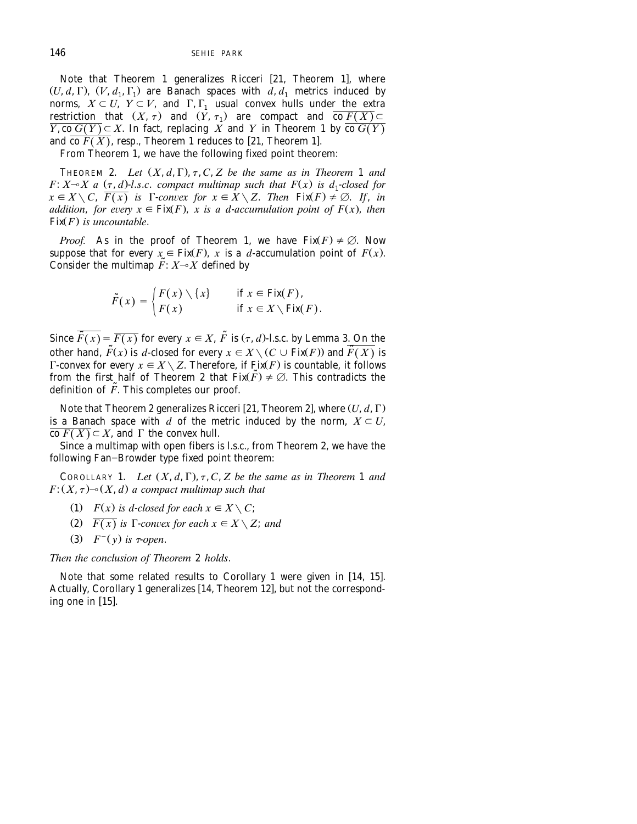Note that Theorem 1 generalizes Ricceri [21, Theorem 1], where  $(U, d, \Gamma)$ ,  $(V, d_1, \Gamma_1)$  are Banach spaces with  $d, d_1$  metrics induced by norms,  $X \subset U$ ,  $Y \subset V$ , and  $\Gamma$ ,  $\Gamma_1$  usual convex hulls under the extra restriction that  $(X, \tau)$  and  $(Y, \tau_1)$  are compact and  $\overline{\text{co } F(X)} \subset$  $\overline{Y}$ , co  $\overline{G(Y)} \subseteq X$ . In fact, replacing  $\overline{X}$  and  $Y$  in Theorem 1 by  $\overline{\text{co }G(Y)}$ and  $\overline{\text{co }F(X)}$ , resp., Theorem 1 reduces to [21, Theorem 1].

From Theorem 1, we have the following fixed point theorem:

THEOREM 2. Let  $(X, d, \Gamma)$ ,  $\tau$ ,  $C$ ,  $Z$  be the same as in Theorem 1 and *F*:  $X \rightarrow X$  a  $(\tau, d)$ -l.s.c. compact multimap such that  $F(x)$  is  $d_1$ -closed for  $x \in X \setminus C$ ,  $\overline{F(x)}$  is  $\Gamma$ -convex for  $x \in X \setminus Z$ . Then  $\text{Fix}(F) \neq \emptyset$ . If, in *addition, for every*  $x \in Fix(F)$ , *x is a d-accumulation point of F(x), then*  $Fix(F)$  is uncountable.

*Proof.* As in the proof of Theorem 1, we have  $Fix(F) \neq \emptyset$ . Now suppose that for every  $x \in Fix(F)$ , *x* is a *d*-accumulation point of  $F(x)$ . Consider the multimap  $\tilde{F}$ :  $X \rightarrow X$  defined by

$$
\tilde{F}(x) = \begin{cases} F(x) \setminus \{x\} & \text{if } x \in \text{Fix}(F), \\ F(x) & \text{if } x \in X \setminus \text{Fix}(F). \end{cases}
$$

Since  $\overline{\widetilde{F}(x)} = \overline{F(x)}$  for every  $x \in X$ ,  $\widetilde{F}$  is  $(\tau, d)$ -l.s.c. by Lemma 3. On the other hand,  $\tilde{F}(x)$  is *d*-closed for every  $x \in X \setminus (C \cup Fix(F))$  and  $\overline{\tilde{F}(X)}$  is F-convex for every  $x \in X \setminus Z$ . Therefore, if Fix(*F*) is countable, it follows from the first half of Theorem 2 that  $Fix(\tilde{F}) \neq \emptyset$ . This contradicts the definition of  $\tilde{F}$ . This completes our proof.

Note that Theorem 2 generalizes Ricceri [21, Theorem 2], where  $(U, d, \Gamma)$ is a Banach space with *d* of the metric induced by the norm,  $X \subset U$ ,  $\overline{\text{co } F(X)} \subset X$ , and  $\Gamma$  the convex hull.

Since a multimap with open fibers is l.s.c., from Theorem 2, we have the following Fan-Browder type fixed point theorem:

COROLLARY 1. Let  $(X, d, \Gamma)$ ,  $\tau$ ,  $C$ ,  $Z$  be the same as in Theorem 1 and  $F: (X, \tau)$ <sup>- $\circ$ </sup> $(X, d)$  *a compact multimap such that* 

- (1)  $F(x)$  *is d-closed for each*  $x \in X \setminus C$ ;
- (2)  $\overline{F(x)}$  *is*  $\Gamma$ *-convex for each*  $x \in X \setminus Z$ *; and*
- (3)  $F^-(y)$  is  $\tau$ -open.

*Then the conclusion of Theorem* 2 *holds*.

Note that some related results to Corollary 1 were given in [14, 15]. Actually, Corollary 1 generalizes [14, Theorem 12], but not the corresponding one in  $[15]$ .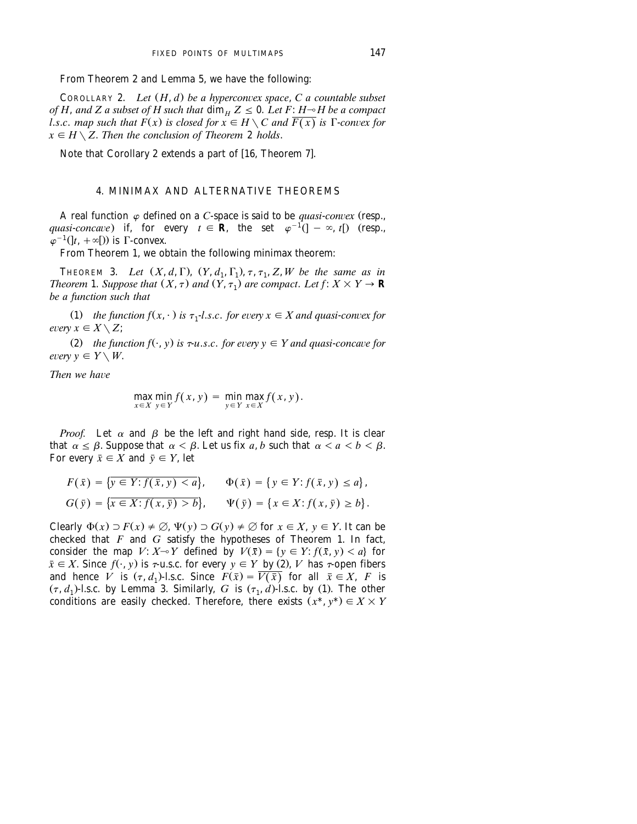From Theorem 2 and Lemma 5, we have the following:

COROLLARY 2. *Let*  $(H, d)$  *be a hyperconvex space, C a countable subset of H*, and *Z* a subset of *H* such that  $\dim_H Z \leq 0$ . Let *F*: *H* $\sim$ *H* be a compact *l.s.c. map such that*  $F(x)$  *is closed for*  $x \in H \setminus C$  *and*  $\overline{F(x)}$  *is*  $\Gamma$ *-convex for*  $x \in H \setminus Z$ . *Then the conclusion of Theorem* 2 *holds*.

Note that Corollary 2 extends a part of [16, Theorem 7].

# 4. MINIMAX AND ALTERNATIVE THEOREMS

A real function  $\varphi$  defined on a *C*-space is said to be *quasi-convex* (resp., *quasi-concave*) if, for every  $t \in \mathbf{R}$ , the set  $\varphi^{-1}(]-\infty, t[)$  (resp.,  $\varphi^{-1}(|t, +\infty[)$ ) is  $\Gamma$ -convex.

From Theorem 1, we obtain the following minimax theorem:

THEOREM 3. Let  $(X, d, \Gamma)$ ,  $(Y, d_1, \Gamma_1)$ ,  $\tau$ ,  $\tau_1$ ,  $Z$ ,  $W$  be the same as in *Theorem* 1. *Suppose that*  $(X, \tau)$  *and*  $(Y, \tau_1)$  *are compact. Let*  $f: X \times Y \to \mathbf{R}$ *be a function such that*

(1) *the function*  $f(x, \cdot)$  *is*  $\tau_1$ -*l.s.c. for every*  $x \in X$  *and quasi-convex for every*  $x \in X \setminus Z$ :

(2) *the function f*( $\cdot$ , *y*) *is*  $\tau$ -*u.s.c. for every*  $y \in Y$  *and quasi-concave for every*  $v \in Y \setminus W$ .

*Then we have* 

$$
\max_{x \in X} \min_{y \in Y} f(x, y) = \min_{y \in Y} \max_{x \in X} f(x, y).
$$

*Proof.* Let  $\alpha$  and  $\beta$  be the left and right hand side, resp. It is clear that  $\alpha \le \beta$ . Suppose that  $\alpha < \beta$ . Let us fix *a*, *b* such that  $\alpha < a < b < \beta$ . For every  $\bar{x} \in X$  and  $\bar{y} \in Y$ , let

$$
F(\bar{x}) = \{ \overline{y \in Y : f(\bar{x}, y) < a} \}, \qquad \Phi(\bar{x}) = \{ y \in Y : f(\bar{x}, y) \le a \},
$$
\n
$$
G(\bar{y}) = \{ \overline{x \in X : f(x, \bar{y}) > b} \}, \qquad \Psi(\bar{y}) = \{ x \in X : f(x, \bar{y}) \ge b \}.
$$

Clearly  $\Phi(x) \supset F(x) \neq \emptyset$ ,  $\Psi(y) \supset G(y) \neq \emptyset$  for  $x \in X$ ,  $y \in Y$ . It can be checked that *F* and *G* satisfy the hypotheses of Theorem 1. In fact, consider the map *V*:  $X \sim Y$  defined by  $V(\bar{x}) = \{y \in Y : f(\bar{x}, y) < a\}$  for  $\bar{x} \in X$ . Since  $f(\cdot, y)$  is  $\tau$ -u.s.c. for every  $y \in Y$  by (2), *V* has  $\tau$ -open fibers and hence *V* is  $(\tau, d_1)$ -l.s.c. Since  $F(\bar{x}) = \overline{V(\bar{x})}$  for all  $\bar{x} \in X$ , *F* is  $(\tau, d_1)$ -l.s.c. by Lemma 3. Similarly, *G* is  $(\tau_1, d)$ -l.s.c. by (1). The other conditions are easily checked. Therefore, there exists  $(x^*, y^*) \in X \times Y$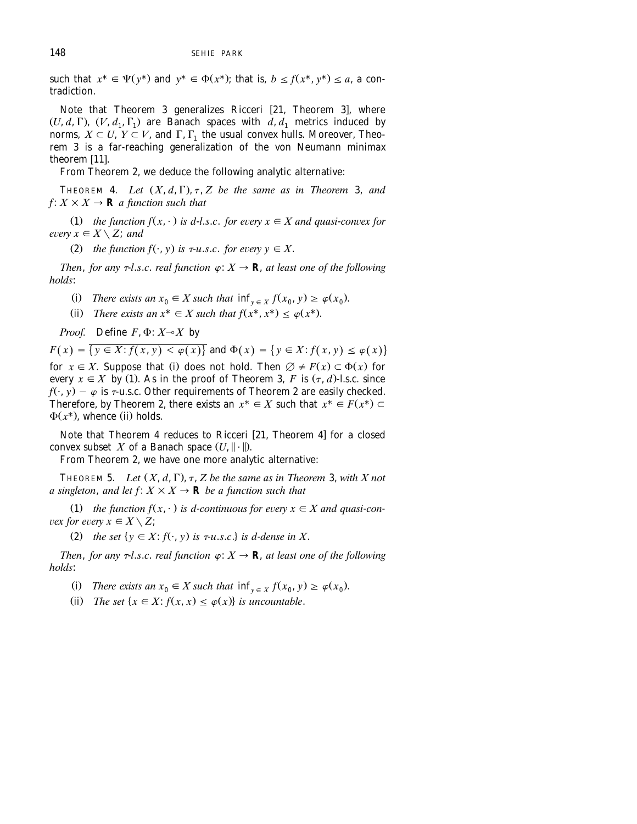such that  $x^* \in \Psi(\nu^*)$  and  $\nu^* \in \Phi(x^*)$ ; that is,  $b < f(x^*, \nu^*) < a$ , a contradiction.

Note that Theorem 3 generalizes Ricceri [21, Theorem 3], where  $(U, d, \Gamma)$ ,  $(V, d_1, \Gamma_1)$  are Banach spaces with  $d, d_1$  metrics induced by norms,  $X \subseteq U$ ,  $Y \subseteq V$ , and  $\Gamma$ ,  $\Gamma_1$ , the usual convex hulls. Moreover, Theorem 3 is a far-reaching generalization of the von Neumann minimax theorem  $[11]$ .

From Theorem 2, we deduce the following analytic alternative:

THEOREM 4. Let  $(X, d, \Gamma)$ ,  $\tau$ ,  $Z$  be the same as in Theorem 3, and  $f: X \times X \rightarrow \mathbf{R}$  *a function such that* 

(1) *the function*  $f(x, \cdot)$  *is d-l.s.c. for every*  $x \in X$  *and quasi-convex for every*  $x \in X \setminus Z$ *; and* 

(2) the function  $f(\cdot, y)$  is  $\tau$ -u.s.c. for every  $y \in X$ .

*Then, for any*  $\tau$ *-l.s.c. real function*  $\varphi: X \to \mathbf{R}$ *, at least one of the following holds*:

- (i) There exists an  $x_0 \in X$  such that  $\inf_{y \in X} f(x_0, y) \ge \varphi(x_0)$ .
- (ii) *There exists an*  $x^* \in X$  *such that*  $f(x^*, x^*) \leq \varphi(x^*)$ .

*Proof.* Define  $F$ ,  $\Phi$ :  $X \rightarrow X$  by

 $F(x) = \{y \in X : f(x, y) < \varphi(x)\}$  and  $\Phi(x) = \{y \in X : f(x, y) \leq \varphi(x)\}$ for  $x \in X$ . Suppose that (i) does not hold. Then  $\emptyset \neq F(x) \subset \Phi(x)$  for every  $x \in X$  by (1). As in the proof of Theorem 3, F is  $(\tau, d)$ -l.s.c. since  $f(\cdot, y) - \varphi$  is  $\tau$ -u.s.c. Other requirements of Theorem 2 are easily checked. Therefore, by Theorem 2, there exists an  $x^* \in X$  such that  $x^* \in F(x^*) \subset Y$  $\Phi(x^*)$ , whence (ii) holds.

Note that Theorem 4 reduces to Ricceri [21, Theorem 4] for a closed convex subset *X* of a Banach space  $(U, \|\cdot\|)$ .

From Theorem 2, we have one more analytic alternative:

THEOREM 5. *Let*  $(X, d, \Gamma)$ ,  $\tau$ ,  $Z$  be the same as in Theorem 3, with  $X$  not *a* singleton, and let  $f: X \times X \rightarrow \mathbf{R}$  be a function such that

 $(1)$  *the function f*( $x, \cdot$ ) *is d-continuous for every*  $x \in X$  *and quasi-convex for every*  $x \in X \setminus Z$ *;* 

(2) the set  $\{y \in X : f(\cdot, y) \text{ is } \tau \text{-} u \text{ s.c.}\}$  is d-dense in X.

*Then, for any*  $\tau$ *-l.s.c. real function*  $\varphi: X \to \mathbf{R}$ , at least one of the following *holds*:

(i) There exists an  $x_0 \in X$  such that  $\inf_{y \in X} f(x_0, y) \ge \varphi(x_0)$ .

(ii) *The set*  $\{x \in X : f(x, x) \leq \varphi(x)\}$  *is uncountable.*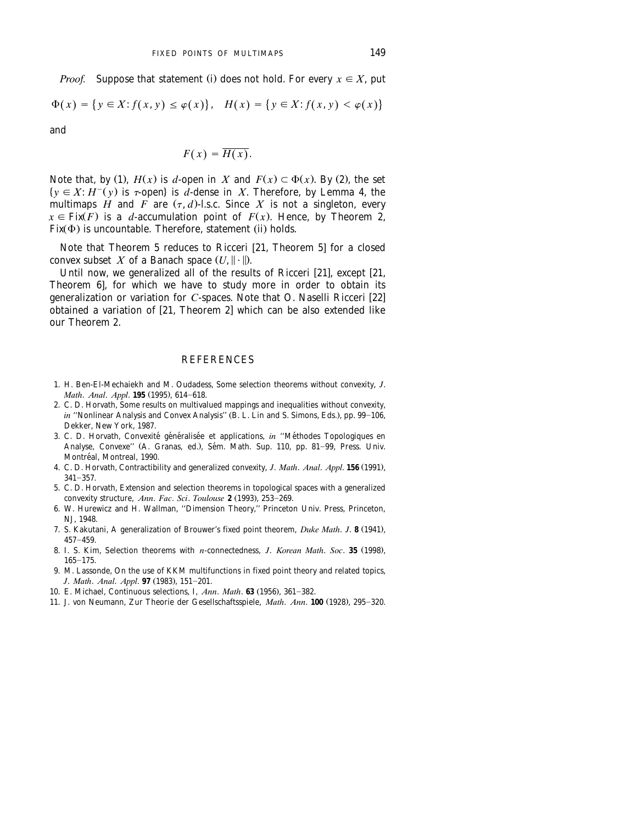*Proof.* Suppose that statement (i) does not hold. For every  $x \in X$ , put

$$
\Phi(x) = \{ y \in X : f(x, y) \le \varphi(x) \}, \quad H(x) = \{ y \in X : f(x, y) < \varphi(x) \}
$$

and

$$
F(x)=\overline{H(x)}.
$$

Note that, by (1),  $H(x)$  is *d*-open in *X* and  $F(x) \subset \Phi(x)$ . By (2), the set  $\{y \in X : H^{-}(y) \text{ is } \tau\text{-open} \}$  is d-dense in *X*. Therefore, by Lemma 4, the multimaps *H* and *F* are  $(\tau, d)$ -l.s.c. Since *X* is not a singleton, every  $x \in Fix(F)$  is a *d*-accumulation point of  $F(x)$ . Hence, by Theorem 2,  $Fix(\Phi)$  is uncountable. Therefore, statement (ii) holds.

Note that Theorem 5 reduces to Ricceri [21, Theorem 5] for a closed convex subset *X* of a Banach space  $(U, \|\cdot\|)$ .

Until now, we generalized all of the results of Ricceri [21], except [21, Theorem 6], for which we have to study more in order to obtain its generalization or variation for *C*-spaces. Note that O. Naselli Ricceri [22] obtained a variation of  $[21,$  Theorem 2] which can be also extended like our Theorem 2.

### **REFERENCES**

- 1. H. Ben-El-Mechaiekh and M. Oudadess, Some selection theorems without convexity, *J*. *Math. Anal. Appl.* **195** (1995), 614-618.
- 2. C. D. Horvath, Some results on multivalued mappings and inequalities without convexity, *in* "Nonlinear Analysis and Convex Analysis" (B. L. Lin and S. Simons, Eds.), pp. 99–106, Dekker, New York, 1987.
- 3. C. D. Horvath, Convexité généralisée et applications, in "Méthodes Topologiques en Analyse, Convexe" (A. Granas, ed.), Sém. Math. Sup. 110, pp. 81-99, Press. Univ. Montreal, Montreal, 1990. ´
- 4. C. D. Horvath, Contractibility and generalized convexity, *J. Math. Anal. Appl.* **156** (1991),  $341 - 357.$
- 5. C. D. Horvath, Extension and selection theorems in topological spaces with a generalized convexity structure, Ann. Fac. Sci. Toulouse 2 (1993), 253-269.
- 6. W. Hurewicz and H. Wallman, ''Dimension Theory,'' Princeton Univ. Press, Princeton, NJ, 1948.
- 7. S. Kakutani, A generalization of Brouwer's fixed point theorem, *Duke Math. J.* 8 (1941),  $457 - 459$ .
- 8. I. S. Kim, Selection theorems with *n*-connectedness, *J. Korean Math. Soc.* 35 (1998),  $165 - 175.$
- 9. M. Lassonde, On the use of KKM multifunctions in fixed point theory and related topics, *J. Math. Anal. Appl.* **97** (1983), 151-201.
- 10. E. Michael, Continuous selections, I, *Ann. Math.* **63** (1956), 361-382.
- 11. J. von Neumann, Zur Theorie der Gesellschaftsspiele, *Math. Ann.* **100** (1928), 295-320.